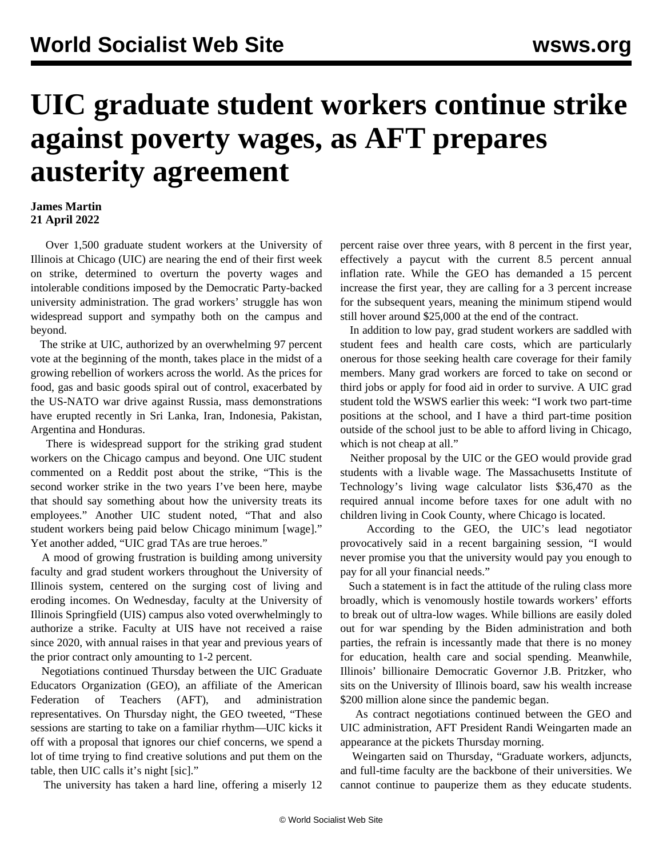## **UIC graduate student workers continue strike against poverty wages, as AFT prepares austerity agreement**

## **James Martin 21 April 2022**

 Over 1,500 graduate student workers at the University of Illinois at Chicago (UIC) are nearing the end of their first week on strike, determined to overturn the poverty wages and intolerable conditions imposed by the Democratic Party-backed university administration. The grad workers' struggle has won widespread support and sympathy both on the campus and beyond.

 The strike at UIC, authorized by an overwhelming 97 percent vote at the beginning of the month, takes place in the midst of a growing rebellion of workers across the world. As the prices for food, gas and basic goods spiral out of control, exacerbated by the US-NATO war drive against Russia, [mass demonstrations](/en/articles/2022/04/16/pers-a16.html) have erupted recently in Sri Lanka, Iran, Indonesia, Pakistan, Argentina and Honduras.

 There is widespread support for the striking grad student workers on the Chicago campus and beyond. One UIC student commented on a [Reddit](https://www.reddit.com/r/uichicago/comments/u7vck1/you_cant_live_on_this_wage_striking_uic_graduate/i5hlrd6/) post about the strike, "This is the second worker strike in the two years I've been here, maybe that should say something about how the university treats its employees." Another UIC student noted, "That and also student workers being paid below Chicago minimum [wage]." Yet another added, "UIC grad TAs are true heroes."

 A mood of growing frustration is building among university faculty and grad student workers throughout the University of Illinois system, centered on the surging cost of living and eroding incomes. On Wednesday, faculty at the University of Illinois Springfield (UIS) campus also voted overwhelmingly to authorize a strike. Faculty at UIS have not received a raise since 2020, with annual raises in that year and previous years of the prior contract only amounting to 1-2 percent.

 Negotiations continued Thursday between the UIC Graduate Educators Organization (GEO), an affiliate of the American Federation of Teachers (AFT), and administration representatives. On Thursday night, the GEO tweeted, "These sessions are starting to take on a familiar rhythm—UIC kicks it off with a proposal that ignores our chief concerns, we spend a lot of time trying to find creative solutions and put them on the table, then UIC calls it's night [sic]."

The university has taken a hard line, offering a miserly 12

percent raise over three years, with 8 percent in the first year, effectively a paycut with the current 8.5 percent annual inflation rate. While the GEO has demanded a 15 percent increase the first year, they are calling for a 3 percent increase for the subsequent years, meaning the minimum stipend would still hover around \$25,000 at the end of the contract.

 In addition to low pay, grad student workers are saddled with student fees and health care costs, which are particularly onerous for those seeking health care coverage for their family members. Many grad workers are forced to take on second or third jobs or apply for food aid in order to survive. A [UIC grad](/en/articles/2022/04/20/uich-a20.html) [student](/en/articles/2022/04/20/uich-a20.html) told the WSWS earlier this week: "I work two part-time positions at the school, and I have a third part-time position outside of the school just to be able to afford living in Chicago, which is not cheap at all."

 Neither proposal by the UIC or the GEO would provide grad students with a livable wage. The Massachusetts Institute of Technology's living wage calculator lists \$36,470 as the required annual income before taxes for one adult with no children living in Cook County, where Chicago is located.

 According to the GEO, the UIC's lead negotiator provocatively said in a recent bargaining session, "I would never promise you that the university would pay you enough to pay for all your financial needs."

 Such a statement is in fact the attitude of the ruling class more broadly, which is venomously hostile towards workers' efforts to break out of ultra-low wages. While billions are easily doled out for [war spending](/en/articles/2022/04/01/pers-a01.html) by the Biden administration and both parties, the refrain is incessantly made that there is no money for education, health care and social spending. Meanwhile, Illinois' billionaire Democratic Governor J.B. Pritzker, who sits on the University of Illinois board, saw his wealth increase \$200 million alone since the pandemic began.

 As contract negotiations continued between the GEO and UIC administration, AFT President Randi Weingarten made an appearance at the pickets Thursday morning.

 Weingarten said on Thursday, "Graduate workers, adjuncts, and full-time faculty are the backbone of their universities. We cannot continue to pauperize them as they educate students.